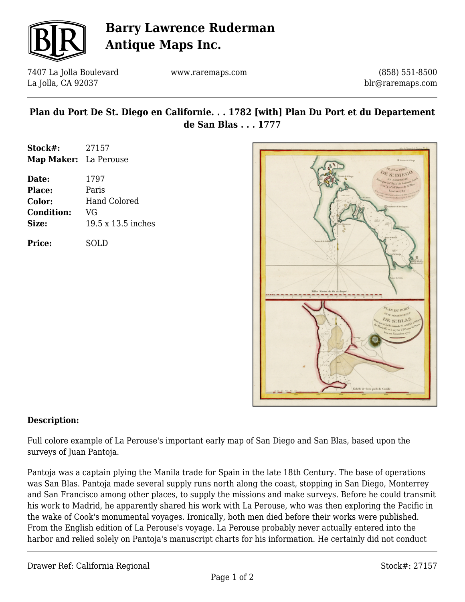

# **Barry Lawrence Ruderman Antique Maps Inc.**

7407 La Jolla Boulevard La Jolla, CA 92037

www.raremaps.com

(858) 551-8500 blr@raremaps.com

### **Plan du Port De St. Diego en Californie. . . 1782 [with] Plan Du Port et du Departement de San Blas . . . 1777**

| Stock#:               | 27157 |
|-----------------------|-------|
| Map Maker: La Perouse |       |

| Date:         | 1797                |
|---------------|---------------------|
| <b>Place:</b> | Paris               |
| Color:        | <b>Hand Colored</b> |
| Condition:    | VG                  |
| Size:         | 19.5 x 13.5 inches  |
|               |                     |

**Price:** SOLD



#### **Description:**

Full colore example of La Perouse's important early map of San Diego and San Blas, based upon the surveys of Juan Pantoja.

Pantoja was a captain plying the Manila trade for Spain in the late 18th Century. The base of operations was San Blas. Pantoja made several supply runs north along the coast, stopping in San Diego, Monterrey and San Francisco among other places, to supply the missions and make surveys. Before he could transmit his work to Madrid, he apparently shared his work with La Perouse, who was then exploring the Pacific in the wake of Cook's monumental voyages. Ironically, both men died before their works were published. From the English edition of La Perouse's voyage. La Perouse probably never actually entered into the harbor and relied solely on Pantoja's manuscript charts for his information. He certainly did not conduct